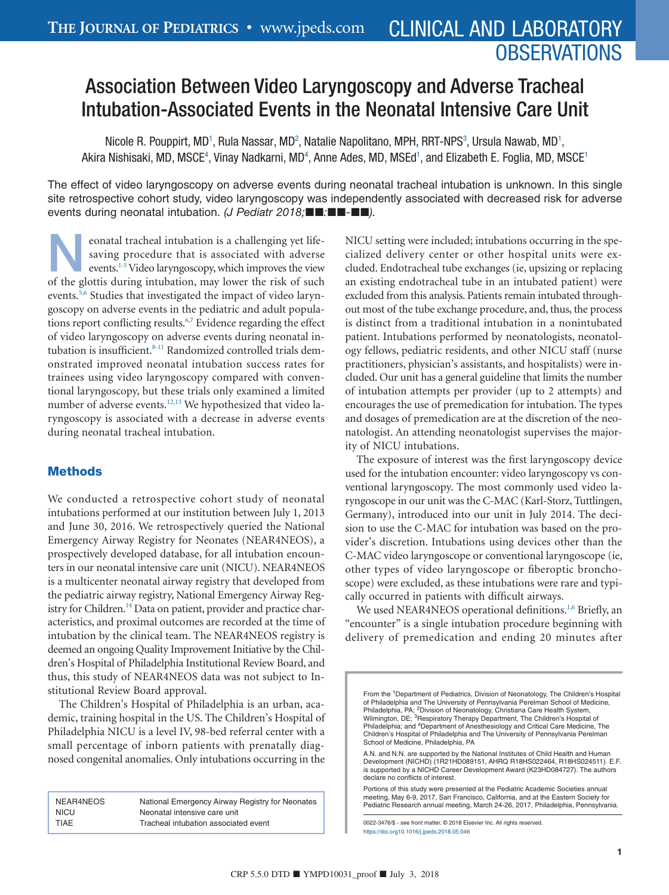# **OBSERVATIONS**

# Association Between Video Laryngoscopy and Adverse Tracheal Intubation-Associated Events in the Neonatal Intensive Care Unit

Nicole R. Pouppirt, MD<sup>1</sup>, Rula Nassar, MD<sup>2</sup>, Natalie Napolitano, MPH, RRT-NPS<sup>3</sup>, Ursula Nawab, MD<sup>1</sup>, Akira Nishisaki, MD, MSCE<sup>4</sup>, Vinay Nadkarni, MD<sup>4</sup>, Anne Ades, MD, MSEd<sup>1</sup>, and Elizabeth E. Foglia, MD, MSCE<sup>1</sup>

The effect of video laryngoscopy on adverse events during neonatal tracheal intubation is unknown. In this single site retrospective cohort study, video laryngoscopy was independently associated with decreased risk for adverse events during neonatal intubation. (J Pediatr 2018;■■:■■-■■).

eonatal tracheal intubation is a challenging yet lifesaving procedure that is associated with adverse events.<sup>1-5</sup> Video laryngoscopy, which improves the view of the glottis during intubation, may lower the risk of such events.<sup>5,6</sup> Studies that investigated the impact of video laryngoscopy on adverse events in the pediatric and adult populations report conflicting results.<sup>6,7</sup> Evidence regarding the effect of video laryngoscopy on adverse events during neonatal intubation is insufficient.<sup>8-11</sup> Randomized controlled trials demonstrated improved neonatal intubation success rates for trainees using video laryngoscopy compared with conventional laryngoscopy, but these trials only examined a limited number of adverse events[.12,13](#page-3-4) We hypothesized that video laryngoscopy is associated with a decrease in adverse events during neonatal tracheal intubation.

# Methods

We conducted a retrospective cohort study of neonatal intubations performed at our institution between July 1, 2013 and June 30, 2016. We retrospectively queried the National Emergency Airway Registry for Neonates (NEAR4NEOS), a prospectively developed database, for all intubation encounters in our neonatal intensive care unit (NICU). NEAR4NEOS is a multicenter neonatal airway registry that developed from the pediatric airway registry, National Emergency Airway Registry for Children.<sup>14</sup> Data on patient, provider and practice characteristics, and proximal outcomes are recorded at the time of intubation by the clinical team. The NEAR4NEOS registry is deemed an ongoing Quality Improvement Initiative by the Children's Hospital of Philadelphia Institutional Review Board, and thus, this study of NEAR4NEOS data was not subject to Institutional Review Board approval.

The Children's Hospital of Philadelphia is an urban, academic, training hospital in the US. The Children's Hospital of Philadelphia NICU is a level IV, 98-bed referral center with a small percentage of inborn patients with prenatally diagnosed congenital anomalies. Only intubations occurring in the

| NEAR4NEOS   | National Emergency Airway Registry for Neonates |
|-------------|-------------------------------------------------|
| <b>NICU</b> | Neonatal intensive care unit                    |
| TIAE        | Tracheal intubation associated event            |
|             |                                                 |

NICU setting were included; intubations occurring in the specialized delivery center or other hospital units were excluded. Endotracheal tube exchanges (ie, upsizing or replacing an existing endotracheal tube in an intubated patient) were excluded from this analysis. Patients remain intubated throughout most of the tube exchange procedure, and, thus, the process is distinct from a traditional intubation in a nonintubated patient. Intubations performed by neonatologists, neonatology fellows, pediatric residents, and other NICU staff (nurse practitioners, physician's assistants, and hospitalists) were included. Our unit has a general guideline that limits the number of intubation attempts per provider (up to 2 attempts) and encourages the use of premedication for intubation. The types and dosages of premedication are at the discretion of the neonatologist. An attending neonatologist supervises the majority of NICU intubations.

The exposure of interest was the first laryngoscopy device used for the intubation encounter: video laryngoscopy vs conventional laryngoscopy. The most commonly used video laryngoscope in our unit was the C-MAC (Karl-Storz, Tuttlingen, Germany), introduced into our unit in July 2014. The decision to use the C-MAC for intubation was based on the provider's discretion. Intubations using devices other than the C-MAC video laryngoscope or conventional laryngoscope (ie, other types of video laryngoscope or fiberoptic bronchoscope) were excluded, as these intubations were rare and typically occurred in patients with difficult airways.

We used NEAR4NEOS operational definitions.<sup>1,6</sup> Briefly, an "encounter" is a single intubation procedure beginning with delivery of premedication and ending 20 minutes after

<span id="page-0-3"></span><span id="page-0-2"></span><span id="page-0-1"></span><span id="page-0-0"></span>From the 1Department of Pediatrics, Division of Neonatology, The Children's Hospital of Philadelphia and The University of Pennsylvania Perelman School of Medicine, Philadelphia, PA; <sup>2</sup>Division of Neonatology, Christiana Care Health System,<br>Wilmington, DE; <sup>3</sup>Respiratory Therapy Department, The Children's Hospital of<br>Philadelphia; and <sup>4</sup>Department of Anesthesiology and Critical Care Children's Hospital of Philadelphia and The University of Pennsylvania Perelman School of Medicine, Philadelphia, PA

A.N. and N.N. are supported by the National Institutes of Child Health and Human Development (NICHD) (1R21HD089151, AHRQ R18HS022464, R18HS024511). E.F. is supported by a NICHD Career Development Award (K23HD084727). The authors declare no conflicts of interest.

Portions of this study were presented at the Pediatric Academic Societies annual meeting, May 6-9, 2017, San Francisco, California, and at the Eastern Society for Pediatric Research annual meeting, March 24-26, 2017, Philadelphia, Pennsylvania.

0022-3476/\$ - see front matter. © 2018 Elsevier Inc. All rights reserved. https://doi.org10.1016/j.jpeds.2018.05.046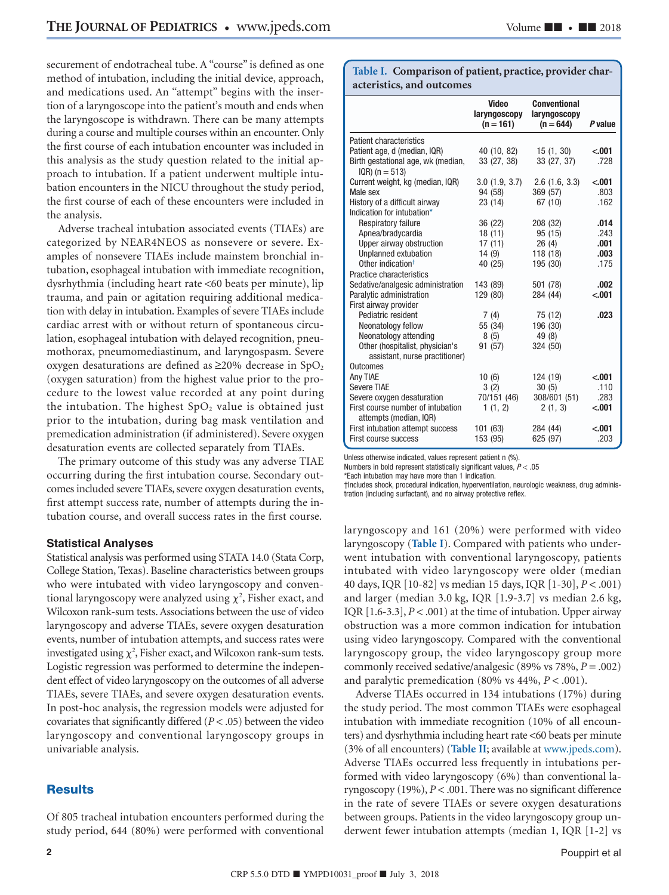securement of endotracheal tube. A "course" is defined as one method of intubation, including the initial device, approach, and medications used. An "attempt" begins with the insertion of a laryngoscope into the patient's mouth and ends when the laryngoscope is withdrawn. There can be many attempts during a course and multiple courses within an encounter. Only the first course of each intubation encounter was included in this analysis as the study question related to the initial approach to intubation. If a patient underwent multiple intubation encounters in the NICU throughout the study period, the first course of each of these encounters were included in the analysis.

Adverse tracheal intubation associated events (TIAEs) are categorized by NEAR4NEOS as nonsevere or severe. Examples of nonsevere TIAEs include mainstem bronchial intubation, esophageal intubation with immediate recognition, dysrhythmia (including heart rate <60 beats per minute), lip trauma, and pain or agitation requiring additional medication with delay in intubation. Examples of severe TIAEs include cardiac arrest with or without return of spontaneous circulation, esophageal intubation with delayed recognition, pneumothorax, pneumomediastinum, and laryngospasm. Severe oxygen desaturations are defined as  $\geq$ 20% decrease in SpO<sub>2</sub> (oxygen saturation) from the highest value prior to the procedure to the lowest value recorded at any point during the intubation. The highest  $SpO<sub>2</sub>$  value is obtained just prior to the intubation, during bag mask ventilation and premedication administration (if administered). Severe oxygen desaturation events are collected separately from TIAEs.

The primary outcome of this study was any adverse TIAE occurring during the first intubation course. Secondary outcomes included severe TIAEs, severe oxygen desaturation events, first attempt success rate, number of attempts during the intubation course, and overall success rates in the first course.

#### **Statistical Analyses**

Statistical analysis was performed using STATA 14.0 (Stata Corp, College Station, Texas). Baseline characteristics between groups who were intubated with video laryngoscopy and conventional laryngoscopy were analyzed using  $\chi^2$ , Fisher exact, and Wilcoxon rank-sum tests. Associations between the use of video laryngoscopy and adverse TIAEs, severe oxygen desaturation events, number of intubation attempts, and success rates were investigated using  $\chi^2$ , Fisher exact, and Wilcoxon rank-sum tests. Logistic regression was performed to determine the independent effect of video laryngoscopy on the outcomes of all adverse TIAEs, severe TIAEs, and severe oxygen desaturation events. In post-hoc analysis, the regression models were adjusted for covariates that significantly differed (*P* < .05) between the video laryngoscopy and conventional laryngoscopy groups in univariable analysis.

#### **Results**

Of 805 tracheal intubation encounters performed during the study period, 644 (80%) were performed with conventional

**Table I. Comparison of patient, practice, provider characteristics, and outcomes**

|                                                             | <b>Video</b><br>laryngoscopy<br>$(n = 161)$ | <b>Conventional</b><br>laryngoscopy<br>$(n = 644)$ | <b>P</b> value |
|-------------------------------------------------------------|---------------------------------------------|----------------------------------------------------|----------------|
| <b>Patient characteristics</b>                              |                                             |                                                    |                |
| Patient age, d (median, IQR)                                | 40 (10, 82)                                 | 15(1, 30)                                          | < .001         |
| Birth gestational age, wk (median,                          | 33 (27, 38)                                 | 33 (27, 37)                                        | .728           |
| $IQR$ ) (n = 513)                                           |                                             |                                                    |                |
| Current weight, kg (median, IQR)                            | 3.0(1.9, 3.7)                               | $2.6$ $(1.6, 3.3)$                                 | < .001         |
| Male sex                                                    | 94 (58)                                     | 369 (57)                                           | .803           |
| History of a difficult airway                               | 23 (14)                                     | 67 (10)                                            | .162           |
| Indication for intubation*                                  |                                             |                                                    |                |
| <b>Respiratory failure</b>                                  | 36 (22)                                     | 208 (32)                                           | .014           |
| Apnea/bradycardia                                           | 18(11)                                      | 95 (15)                                            | .243           |
| Upper airway obstruction                                    | 17(11)                                      | 26(4)                                              | .001           |
| Unplanned extubation                                        | 14 (9)                                      | 118 (18)                                           | .003           |
| Other indication <sup>†</sup>                               | 40 (25)                                     | 195 (30)                                           | .175           |
| Practice characteristics                                    |                                             |                                                    |                |
| Sedative/analgesic administration                           | 143 (89)                                    | 501 (78)                                           | .002           |
| Paralytic administration                                    | 129 (80)                                    | 284 (44)                                           | < .001         |
| First airway provider                                       |                                             |                                                    |                |
| Pediatric resident                                          | 7(4)                                        | 75 (12)                                            | .023           |
| Neonatology fellow                                          | 55 (34)                                     | 196 (30)                                           |                |
| Neonatology attending                                       | 8(5)                                        | 49 (8)                                             |                |
| Other (hospitalist, physician's                             | 91 (57)                                     | 324 (50)                                           |                |
| assistant, nurse practitioner)                              |                                             |                                                    |                |
| <b>Outcomes</b>                                             |                                             |                                                    |                |
| Any TIAE                                                    | 10(6)                                       | 124 (19)                                           | < .001         |
| <b>Severe TIAE</b>                                          | 3(2)                                        | 30(5)                                              | .110           |
| Severe oxygen desaturation                                  | 70/151 (46)                                 | 308/601 (51)                                       | .283           |
| First course number of intubation<br>attempts (median, IQR) | 1(1, 2)                                     | 2(1, 3)                                            | $-.001$        |
| First intubation attempt success                            | 101 (63)                                    | 284 (44)                                           | < .001         |
| First course success                                        | 153 (95)                                    | 625 (97)                                           | .203           |

Unless otherwise indicated, values represent patient n (%).

<span id="page-1-0"></span>Numbers in bold represent statistically significant values,  $P < .05$ 

\*Each intubation may have more than 1 indication.

<span id="page-1-1"></span>†Includes shock, procedural indication, hyperventilation, neurologic weakness, drug administration (including surfactant), and no airway protective reflex.

laryngoscopy and 161 (20%) were performed with video laryngoscopy (**Table I**). Compared with patients who underwent intubation with conventional laryngoscopy, patients intubated with video laryngoscopy were older (median 40 days, IQR [10-82] vs median 15 days, IQR [1-30], *P* < .001) and larger (median 3.0 kg, IQR [1.9-3.7] vs median 2.6 kg, IQR  $[1.6-3.3]$ ,  $P < .001$ ) at the time of intubation. Upper airway obstruction was a more common indication for intubation using video laryngoscopy. Compared with the conventional laryngoscopy group, the video laryngoscopy group more commonly received sedative/analgesic (89% vs 78%, *P* = .002) and paralytic premedication (80% vs 44%, *P* < .001).

Adverse TIAEs occurred in 134 intubations (17%) during the study period. The most common TIAEs were esophageal intubation with immediate recognition (10% of all encounters) and dysrhythmia including heart rate <60 beats per minute (3% of all encounters) (**[Table II](#page-4-0)**; available at [www.jpeds.com\)](http://www.jpeds.com). Adverse TIAEs occurred less frequently in intubations performed with video laryngoscopy (6%) than conventional laryngoscopy (19%), *P* < .001. There was no significant difference in the rate of severe TIAEs or severe oxygen desaturations between groups. Patients in the video laryngoscopy group underwent fewer intubation attempts (median 1, IQR [1-2] vs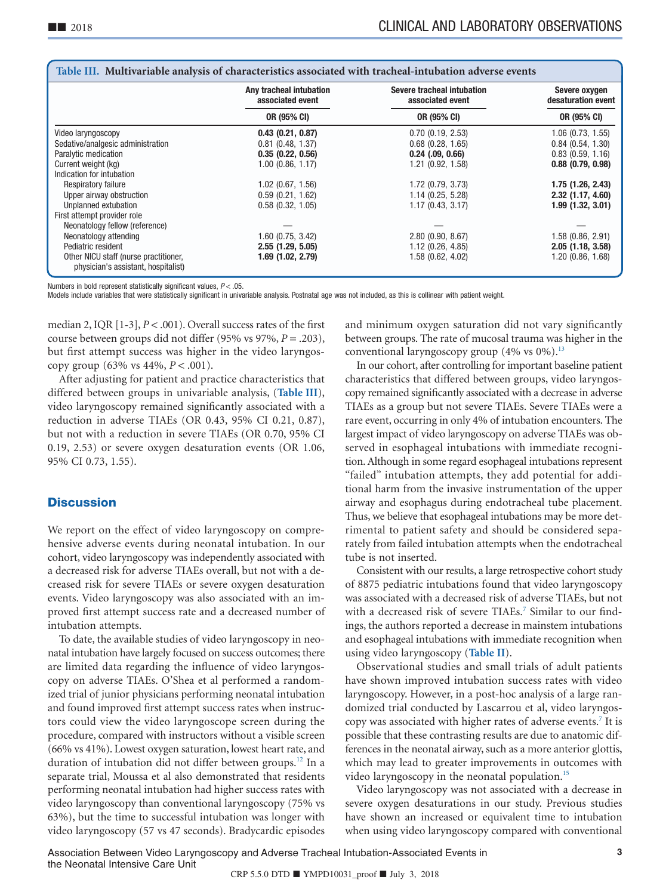|                                                                              | Any tracheal intubation<br>associated event | Severe tracheal intubation<br>associated event | Severe oxygen<br>desaturation event |  |  |  |
|------------------------------------------------------------------------------|---------------------------------------------|------------------------------------------------|-------------------------------------|--|--|--|
|                                                                              | OR (95% CI)                                 | OR (95% CI)                                    | OR (95% CI)                         |  |  |  |
| Video laryngoscopy                                                           | 0.43(0.21, 0.87)                            | 0.70(0.19, 2.53)                               | $1.06$ $(0.73, 1.55)$               |  |  |  |
| Sedative/analgesic administration                                            | $0.81$ (0.48, 1.37)                         | $0.68$ $(0.28, 1.65)$                          | 0.84(0.54, 1.30)                    |  |  |  |
| Paralytic medication                                                         | 0.35(0.22, 0.56)                            | $0.24$ $(.09, 0.66)$                           | $0.83$ $(0.59, 1.16)$               |  |  |  |
| Current weight (kg)                                                          | $1.00$ (0.86, 1.17)                         | 1.21 (0.92, 1.58)                              | $0.88$ $(0.79, 0.98)$               |  |  |  |
| Indication for intubation                                                    |                                             |                                                |                                     |  |  |  |
| Respiratory failure                                                          | $1.02$ (0.67, 1.56)                         | $1.72$ (0.79, 3.73)                            | 1.75(1.26, 2.43)                    |  |  |  |
| Upper airway obstruction                                                     | 0.59(0.21, 1.62)                            | 1.14(0.25, 5.28)                               | 2.32 (1.17, 4.60)                   |  |  |  |
| Unplanned extubation                                                         | 0.58(0.32, 1.05)                            | 1.17(0.43, 3.17)                               | 1.99(1.32, 3.01)                    |  |  |  |
| First attempt provider role                                                  |                                             |                                                |                                     |  |  |  |
| Neonatology fellow (reference)                                               |                                             |                                                |                                     |  |  |  |
| Neonatology attending                                                        | $1.60$ (0.75, 3.42)                         | 2.80(0.90, 8.67)                               | $1.58$ (0.86, 2.91)                 |  |  |  |
| Pediatric resident                                                           | 2.55 (1.29, 5.05)                           | $1.12$ (0.26, 4.85)                            | 2.05(1.18, 3.58)                    |  |  |  |
| Other NICU staff (nurse practitioner,<br>physician's assistant, hospitalist) | 1.69 (1.02, 2.79)                           | 1.58 (0.62, 4.02)                              | 1.20 (0.86, 1.68)                   |  |  |  |

<span id="page-2-0"></span>

| Table III. Multivariable analysis of characteristics associated with tracheal-intubation adverse events |  |  |  |  |
|---------------------------------------------------------------------------------------------------------|--|--|--|--|
|                                                                                                         |  |  |  |  |

Numbers in bold represent statistically significant values,  $P < .05$ 

Models include variables that were statistically significant in univariable analysis. Postnatal age was not included, as this is collinear with patient weight.

median 2, IQR [1-3], *P* < .001). Overall success rates of the first course between groups did not differ (95% vs 97%, *P* = .203), but first attempt success was higher in the video laryngoscopy group (63% vs 44%, *P* < .001).

After adjusting for patient and practice characteristics that differed between groups in univariable analysis, (**Table III**), video laryngoscopy remained significantly associated with a reduction in adverse TIAEs (OR 0.43, 95% CI 0.21, 0.87), but not with a reduction in severe TIAEs (OR 0.70, 95% CI 0.19, 2.53) or severe oxygen desaturation events (OR 1.06, 95% CI 0.73, 1.55).

### **Discussion**

We report on the effect of video laryngoscopy on comprehensive adverse events during neonatal intubation. In our cohort, video laryngoscopy was independently associated with a decreased risk for adverse TIAEs overall, but not with a decreased risk for severe TIAEs or severe oxygen desaturation events. Video laryngoscopy was also associated with an improved first attempt success rate and a decreased number of intubation attempts.

To date, the available studies of video laryngoscopy in neonatal intubation have largely focused on success outcomes; there are limited data regarding the influence of video laryngoscopy on adverse TIAEs. O'Shea et al performed a randomized trial of junior physicians performing neonatal intubation and found improved first attempt success rates when instructors could view the video laryngoscope screen during the procedure, compared with instructors without a visible screen (66% vs 41%). Lowest oxygen saturation, lowest heart rate, and duration of intubation did not differ between groups.<sup>12</sup> In a separate trial, Moussa et al also demonstrated that residents performing neonatal intubation had higher success rates with video laryngoscopy than conventional laryngoscopy (75% vs 63%), but the time to successful intubation was longer with video laryngoscopy (57 vs 47 seconds). Bradycardic episodes

and minimum oxygen saturation did not vary significantly between groups. The rate of mucosal trauma was higher in the conventional laryngoscopy group  $(4\% \text{ vs } 0\%).$ <sup>13</sup>

In our cohort, after controlling for important baseline patient characteristics that differed between groups, video laryngoscopy remained significantly associated with a decrease in adverse TIAEs as a group but not severe TIAEs. Severe TIAEs were a rare event, occurring in only 4% of intubation encounters. The largest impact of video laryngoscopy on adverse TIAEs was observed in esophageal intubations with immediate recognition. Although in some regard esophageal intubations represent "failed" intubation attempts, they add potential for additional harm from the invasive instrumentation of the upper airway and esophagus during endotracheal tube placement. Thus, we believe that esophageal intubations may be more detrimental to patient safety and should be considered separately from failed intubation attempts when the endotracheal tube is not inserted.

Consistent with our results, a large retrospective cohort study of 8875 pediatric intubations found that video laryngoscopy was associated with a decreased risk of adverse TIAEs, but not with a decreased risk of severe TIAEs.<sup>7</sup> Similar to our findings, the authors reported a decrease in mainstem intubations and esophageal intubations with immediate recognition when using video laryngoscopy (**[Table II](#page-4-0)**).

Observational studies and small trials of adult patients have shown improved intubation success rates with video laryngoscopy. However, in a post-hoc analysis of a large randomized trial conducted by Lascarrou et al, video laryngoscopy was associated with higher rates of adverse events.<sup>7</sup> It is possible that these contrasting results are due to anatomic differences in the neonatal airway, such as a more anterior glottis, which may lead to greater improvements in outcomes with video laryngoscopy in the neonatal population.<sup>15</sup>

Video laryngoscopy was not associated with a decrease in severe oxygen desaturations in our study. Previous studies have shown an increased or equivalent time to intubation when using video laryngoscopy compared with conventional

Association Between Video Laryngoscopy and Adverse Tracheal Intubation-Associated Events in **3** the Neonatal Intensive Care Unit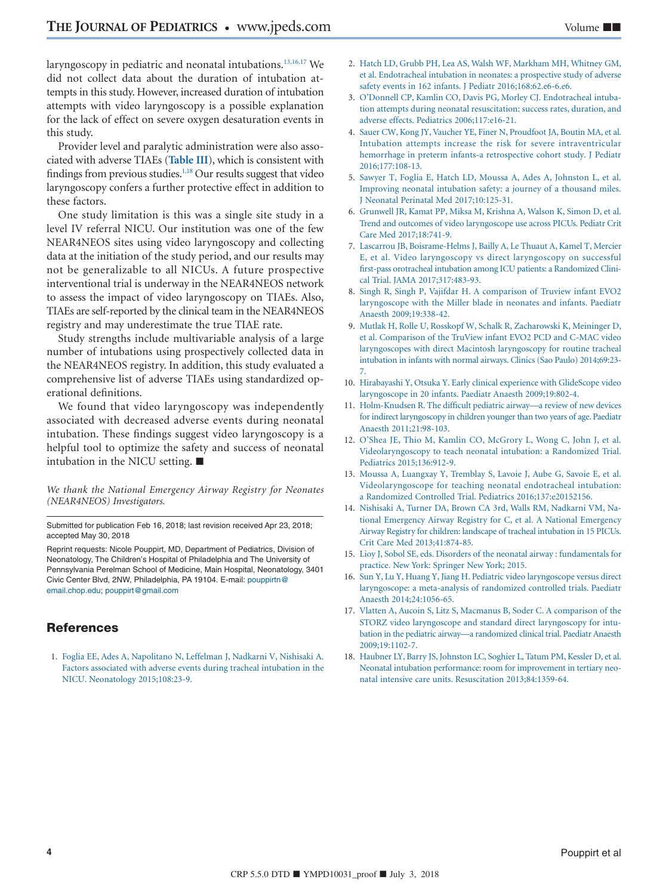laryngoscopy in pediatric and neonatal intubations.<sup>13,16,17</sup> We did not collect data about the duration of intubation attempts in this study. However, increased duration of intubation attempts with video laryngoscopy is a possible explanation for the lack of effect on severe oxygen desaturation events in this study.

Provider level and paralytic administration were also associated with adverse TIAEs (**[Table III](#page-2-0)**), which is consistent with findings from previous studies. $1,18$  Our results suggest that video laryngoscopy confers a further protective effect in addition to these factors.

One study limitation is this was a single site study in a level IV referral NICU. Our institution was one of the few NEAR4NEOS sites using video laryngoscopy and collecting data at the initiation of the study period, and our results may not be generalizable to all NICUs. A future prospective interventional trial is underway in the NEAR4NEOS network to assess the impact of video laryngoscopy on TIAEs. Also, TIAEs are self-reported by the clinical team in the NEAR4NEOS registry and may underestimate the true TIAE rate.

Study strengths include multivariable analysis of a large number of intubations using prospectively collected data in the NEAR4NEOS registry. In addition, this study evaluated a comprehensive list of adverse TIAEs using standardized operational definitions.

We found that video laryngoscopy was independently associated with decreased adverse events during neonatal intubation. These findings suggest video laryngoscopy is a helpful tool to optimize the safety and success of neonatal intubation in the NICU setting. ■

*We thank the National Emergency Airway Registry for Neonates (NEAR4NEOS) Investigators.*

Submitted for publication Feb 16, 2018; last revision received Apr 23, 2018; accepted May 30, 2018

Reprint requests: Nicole Pouppirt, MD, Department of Pediatrics, Division of Neonatology, The Children's Hospital of Philadelphia and The University of Pennsylvania Perelman School of Medicine, Main Hospital, Neonatology, 3401 Civic Center Blvd, 2NW, Philadelphia, PA 19104. E-mail: [pouppirtn@](mailto:pouppirtn@email.chop.edu) [email.chop.edu;](mailto:pouppirtn@email.chop.edu) [pouppirt@gmail.com](mailto:pouppirt@gmail.com)

# **References**

<span id="page-3-0"></span>1. [Foglia EE, Ades A, Napolitano N, Leffelman J, Nadkarni V, Nishisaki A.](http://refhub.elsevier.com/S0022-3476(18)30759-5/sr0010) [Factors associated with adverse events during tracheal intubation in the](http://refhub.elsevier.com/S0022-3476(18)30759-5/sr0010) [NICU. Neonatology 2015;108:23-9.](http://refhub.elsevier.com/S0022-3476(18)30759-5/sr0010)

- 2. [Hatch LD, Grubb PH, Lea AS, Walsh WF, Markham MH, Whitney GM,](http://refhub.elsevier.com/S0022-3476(18)30759-5/sr0015) [et al. Endotracheal intubation in neonates: a prospective study of adverse](http://refhub.elsevier.com/S0022-3476(18)30759-5/sr0015) [safety events in 162 infants. J Pediatr 2016;168:62.e6-6.e6.](http://refhub.elsevier.com/S0022-3476(18)30759-5/sr0015)
- 3. [O'Donnell CP, Kamlin CO, Davis PG, Morley CJ. Endotracheal intuba](http://refhub.elsevier.com/S0022-3476(18)30759-5/sr0020)[tion attempts during neonatal resuscitation: success rates, duration, and](http://refhub.elsevier.com/S0022-3476(18)30759-5/sr0020) [adverse effects. Pediatrics 2006;117:e16-21.](http://refhub.elsevier.com/S0022-3476(18)30759-5/sr0020)
- 4. [Sauer CW, Kong JY, Vaucher YE, Finer N, Proudfoot JA, Boutin MA, et al.](http://refhub.elsevier.com/S0022-3476(18)30759-5/sr0025) [Intubation attempts increase the risk for severe intraventricular](http://refhub.elsevier.com/S0022-3476(18)30759-5/sr0025) [hemorrhage in preterm infants-a retrospective cohort study. J Pediatr](http://refhub.elsevier.com/S0022-3476(18)30759-5/sr0025) [2016;177:108-13.](http://refhub.elsevier.com/S0022-3476(18)30759-5/sr0025)
- <span id="page-3-1"></span>5. [Sawyer T, Foglia E, Hatch LD, Moussa A, Ades A, Johnston L, et al.](http://refhub.elsevier.com/S0022-3476(18)30759-5/sr0030) [Improving neonatal intubation safety: a journey of a thousand miles.](http://refhub.elsevier.com/S0022-3476(18)30759-5/sr0030) [J Neonatal Perinatal Med 2017;10:125-31.](http://refhub.elsevier.com/S0022-3476(18)30759-5/sr0030)
- <span id="page-3-2"></span>6. [Grunwell JR, Kamat PP, Miksa M, Krishna A, Walson K, Simon D, et al.](http://refhub.elsevier.com/S0022-3476(18)30759-5/sr0035) [Trend and outcomes of video laryngoscope use across PICUs. Pediatr Crit](http://refhub.elsevier.com/S0022-3476(18)30759-5/sr0035) [Care Med 2017;18:741-9.](http://refhub.elsevier.com/S0022-3476(18)30759-5/sr0035)
- <span id="page-3-7"></span>7. [Lascarrou JB, Boisrame-Helms J, Bailly A, Le Thuaut A, Kamel T, Mercier](http://refhub.elsevier.com/S0022-3476(18)30759-5/sr0040) [E, et al. Video laryngoscopy vs direct laryngoscopy on successful](http://refhub.elsevier.com/S0022-3476(18)30759-5/sr0040) [first-pass orotracheal intubation among ICU patients: a Randomized Clini](http://refhub.elsevier.com/S0022-3476(18)30759-5/sr0040)[cal Trial. JAMA 2017;317:483-93.](http://refhub.elsevier.com/S0022-3476(18)30759-5/sr0040)
- <span id="page-3-3"></span>8. [Singh R, Singh P, Vajifdar H. A comparison of Truview infant EVO2](http://refhub.elsevier.com/S0022-3476(18)30759-5/sr0045) [laryngoscope with the Miller blade in neonates and infants. Paediatr](http://refhub.elsevier.com/S0022-3476(18)30759-5/sr0045) [Anaesth 2009;19:338-42.](http://refhub.elsevier.com/S0022-3476(18)30759-5/sr0045)
- 9. [Mutlak H, Rolle U, Rosskopf W, Schalk R, Zacharowski K, Meininger D,](http://refhub.elsevier.com/S0022-3476(18)30759-5/sr0050) [et al. Comparison of the TruView infant EVO2 PCD and C-MAC video](http://refhub.elsevier.com/S0022-3476(18)30759-5/sr0050) [laryngoscopes with direct Macintosh laryngoscopy for routine tracheal](http://refhub.elsevier.com/S0022-3476(18)30759-5/sr0050) [intubation in infants with normal airways. Clinics \(Sao Paulo\) 2014;69:23-](http://refhub.elsevier.com/S0022-3476(18)30759-5/sr0050) [7.](http://refhub.elsevier.com/S0022-3476(18)30759-5/sr0050)
- 10. [Hirabayashi Y, Otsuka Y. Early clinical experience with GlideScope video](http://refhub.elsevier.com/S0022-3476(18)30759-5/sr0055) [laryngoscope in 20 infants. Paediatr Anaesth 2009;19:802-4.](http://refhub.elsevier.com/S0022-3476(18)30759-5/sr0055)
- 11. [Holm-Knudsen R. The difficult pediatric airway—a review of new devices](http://refhub.elsevier.com/S0022-3476(18)30759-5/sr0060) [for indirect laryngoscopy in children younger than two years of age. Paediatr](http://refhub.elsevier.com/S0022-3476(18)30759-5/sr0060) [Anaesth 2011;21:98-103.](http://refhub.elsevier.com/S0022-3476(18)30759-5/sr0060)
- <span id="page-3-4"></span>12. [O'Shea JE, Thio M, Kamlin CO, McGrory L, Wong C, John J, et al.](http://refhub.elsevier.com/S0022-3476(18)30759-5/sr0065) [Videolaryngoscopy to teach neonatal intubation: a Randomized Trial.](http://refhub.elsevier.com/S0022-3476(18)30759-5/sr0065) [Pediatrics 2015;136:912-9.](http://refhub.elsevier.com/S0022-3476(18)30759-5/sr0065)
- <span id="page-3-6"></span>13. [Moussa A, Luangxay Y, Tremblay S, Lavoie J, Aube G, Savoie E, et al.](http://refhub.elsevier.com/S0022-3476(18)30759-5/sr0070) [Videolaryngoscope for teaching neonatal endotracheal intubation:](http://refhub.elsevier.com/S0022-3476(18)30759-5/sr0070) [a Randomized Controlled Trial. Pediatrics 2016;137:e20152156.](http://refhub.elsevier.com/S0022-3476(18)30759-5/sr0070)
- <span id="page-3-5"></span>14. [Nishisaki A, Turner DA, Brown CA 3rd, Walls RM, Nadkarni VM, Na](http://refhub.elsevier.com/S0022-3476(18)30759-5/sr0075)[tional Emergency Airway Registry for C, et al. A National Emergency](http://refhub.elsevier.com/S0022-3476(18)30759-5/sr0075) [Airway Registry for children: landscape of tracheal intubation in 15 PICUs.](http://refhub.elsevier.com/S0022-3476(18)30759-5/sr0075) [Crit Care Med 2013;41:874-85.](http://refhub.elsevier.com/S0022-3476(18)30759-5/sr0075)
- <span id="page-3-8"></span>15. [Lioy J, Sobol SE, eds. Disorders of the neonatal airway : fundamentals for](http://refhub.elsevier.com/S0022-3476(18)30759-5/sr0080) [practice. New York: Springer New York; 2015.](http://refhub.elsevier.com/S0022-3476(18)30759-5/sr0080)
- 16. [Sun Y, Lu Y, Huang Y, Jiang H. Pediatric video laryngoscope versus direct](http://refhub.elsevier.com/S0022-3476(18)30759-5/sr0085) [laryngoscope: a meta-analysis of randomized controlled trials. Paediatr](http://refhub.elsevier.com/S0022-3476(18)30759-5/sr0085) [Anaesth 2014;24:1056-65.](http://refhub.elsevier.com/S0022-3476(18)30759-5/sr0085)
- 17. [Vlatten A, Aucoin S, Litz S, Macmanus B, Soder C. A comparison of the](http://refhub.elsevier.com/S0022-3476(18)30759-5/sr0090) [STORZ video laryngoscope and standard direct laryngoscopy for intu](http://refhub.elsevier.com/S0022-3476(18)30759-5/sr0090)[bation in the pediatric airway—a randomized clinical trial. Paediatr Anaesth](http://refhub.elsevier.com/S0022-3476(18)30759-5/sr0090) [2009;19:1102-7.](http://refhub.elsevier.com/S0022-3476(18)30759-5/sr0090)
- 18. [Haubner LY, Barry JS, Johnston LC, Soghier L, Tatum PM, Kessler D, et al.](http://refhub.elsevier.com/S0022-3476(18)30759-5/sr0095) [Neonatal intubation performance: room for improvement in tertiary neo](http://refhub.elsevier.com/S0022-3476(18)30759-5/sr0095)[natal intensive care units. Resuscitation 2013;84:1359-64.](http://refhub.elsevier.com/S0022-3476(18)30759-5/sr0095)